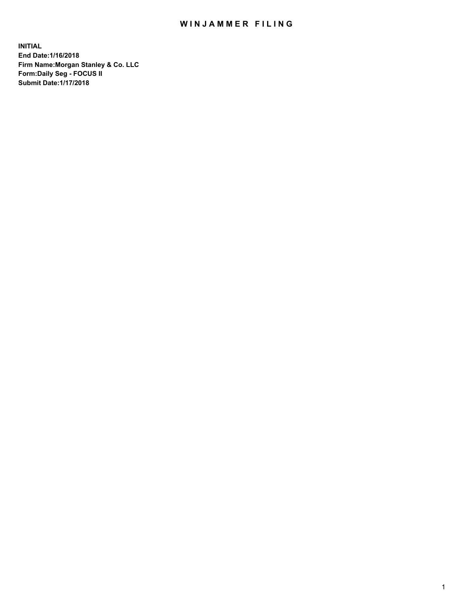## WIN JAMMER FILING

**INITIAL End Date:1/16/2018 Firm Name:Morgan Stanley & Co. LLC Form:Daily Seg - FOCUS II Submit Date:1/17/2018**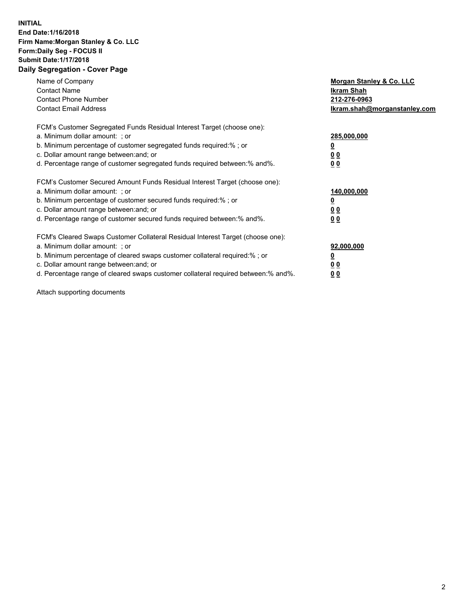## **INITIAL End Date:1/16/2018 Firm Name:Morgan Stanley & Co. LLC Form:Daily Seg - FOCUS II Submit Date:1/17/2018 Daily Segregation - Cover Page**

| Name of Company<br><b>Contact Name</b><br><b>Contact Phone Number</b><br><b>Contact Email Address</b>                                                                                                                                                                                                                          | Morgan Stanley & Co. LLC<br><b>Ikram Shah</b><br>212-276-0963<br>Ikram.shah@morganstanley.com |
|--------------------------------------------------------------------------------------------------------------------------------------------------------------------------------------------------------------------------------------------------------------------------------------------------------------------------------|-----------------------------------------------------------------------------------------------|
| FCM's Customer Segregated Funds Residual Interest Target (choose one):<br>a. Minimum dollar amount: ; or<br>b. Minimum percentage of customer segregated funds required:%; or<br>c. Dollar amount range between: and; or<br>d. Percentage range of customer segregated funds required between: % and %.                        | 285,000,000<br><u>0</u><br>0 <sub>0</sub><br>0 <sub>0</sub>                                   |
| FCM's Customer Secured Amount Funds Residual Interest Target (choose one):<br>a. Minimum dollar amount: ; or<br>b. Minimum percentage of customer secured funds required:%; or<br>c. Dollar amount range between: and; or<br>d. Percentage range of customer secured funds required between: % and %.                          | 140,000,000<br>0 <sub>0</sub><br>0 <sub>0</sub>                                               |
| FCM's Cleared Swaps Customer Collateral Residual Interest Target (choose one):<br>a. Minimum dollar amount: ; or<br>b. Minimum percentage of cleared swaps customer collateral required:% ; or<br>c. Dollar amount range between: and; or<br>d. Percentage range of cleared swaps customer collateral required between:% and%. | 92,000,000<br>0 <sub>0</sub><br>0 <sub>0</sub>                                                |

Attach supporting documents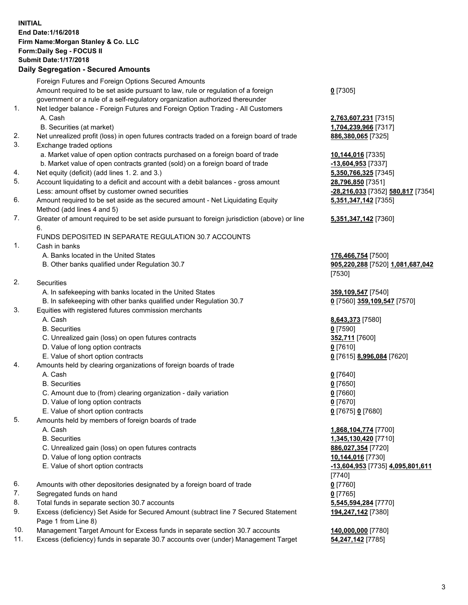## **INITIAL End Date:1/16/2018 Firm Name:Morgan Stanley & Co. LLC Form:Daily Seg - FOCUS II Submit Date:1/17/2018**

## **Daily Segregation - Secured Amounts**

|                | Foreign Futures and Foreign Options Secured Amounts                                                                                                            |                                   |
|----------------|----------------------------------------------------------------------------------------------------------------------------------------------------------------|-----------------------------------|
|                | Amount required to be set aside pursuant to law, rule or regulation of a foreign                                                                               | $0$ [7305]                        |
|                | government or a rule of a self-regulatory organization authorized thereunder                                                                                   |                                   |
| 1.             | Net ledger balance - Foreign Futures and Foreign Option Trading - All Customers                                                                                |                                   |
|                | A. Cash                                                                                                                                                        | 2,763,607,231 [7315]              |
|                | B. Securities (at market)                                                                                                                                      |                                   |
| 2.             | Net unrealized profit (loss) in open futures contracts traded on a foreign board of trade                                                                      | 1,704,239,966 [7317]              |
| 3.             | Exchange traded options                                                                                                                                        | 886,380,065 [7325]                |
|                |                                                                                                                                                                |                                   |
|                | a. Market value of open option contracts purchased on a foreign board of trade<br>b. Market value of open contracts granted (sold) on a foreign board of trade | 10,144,016 [7335]                 |
|                |                                                                                                                                                                | -13,604,953 [7337]                |
| 4.<br>5.       | Net equity (deficit) (add lines 1.2. and 3.)                                                                                                                   | 5,350,766,325 [7345]              |
|                | Account liquidating to a deficit and account with a debit balances - gross amount                                                                              | 28,796,850 [7351]                 |
|                | Less: amount offset by customer owned securities                                                                                                               | -28,216,033 [7352] 580,817 [7354] |
| 6.             | Amount required to be set aside as the secured amount - Net Liquidating Equity<br>Method (add lines 4 and 5)                                                   | 5,351,347,142 [7355]              |
| 7.             | Greater of amount required to be set aside pursuant to foreign jurisdiction (above) or line                                                                    | 5,351,347,142 [7360]              |
|                | 6.                                                                                                                                                             |                                   |
|                | FUNDS DEPOSITED IN SEPARATE REGULATION 30.7 ACCOUNTS                                                                                                           |                                   |
| $\mathbf{1}$ . | Cash in banks                                                                                                                                                  |                                   |
|                | A. Banks located in the United States                                                                                                                          | 176,466,754 [7500]                |
|                | B. Other banks qualified under Regulation 30.7                                                                                                                 | 905,220,288 [7520] 1,081,687,042  |
|                |                                                                                                                                                                | [7530]                            |
| 2.             | Securities                                                                                                                                                     |                                   |
|                | A. In safekeeping with banks located in the United States                                                                                                      | 359,109,547 [7540]                |
|                | B. In safekeeping with other banks qualified under Regulation 30.7                                                                                             | 0 [7560] 359,109,547 [7570]       |
| 3.             | Equities with registered futures commission merchants                                                                                                          |                                   |
|                | A. Cash                                                                                                                                                        | 8,643,373 [7580]                  |
|                | <b>B.</b> Securities                                                                                                                                           | $0$ [7590]                        |
|                | C. Unrealized gain (loss) on open futures contracts                                                                                                            | 352,711 [7600]                    |
|                | D. Value of long option contracts                                                                                                                              | $0$ [7610]                        |
|                | E. Value of short option contracts                                                                                                                             | 0 [7615] 8,996,084 [7620]         |
| 4.             | Amounts held by clearing organizations of foreign boards of trade                                                                                              |                                   |
|                | A. Cash                                                                                                                                                        | $0$ [7640]                        |
|                | <b>B.</b> Securities                                                                                                                                           | $0$ [7650]                        |
|                | C. Amount due to (from) clearing organization - daily variation                                                                                                | $0$ [7660]                        |
|                | D. Value of long option contracts                                                                                                                              | $0$ [7670]                        |
|                | E. Value of short option contracts                                                                                                                             | 0 [7675] 0 [7680]                 |
| 5.             | Amounts held by members of foreign boards of trade                                                                                                             |                                   |
|                | A. Cash                                                                                                                                                        | 1,868,104,774 [7700]              |
|                | <b>B.</b> Securities                                                                                                                                           | 1,345,130,420 [7710]              |
|                | C. Unrealized gain (loss) on open futures contracts                                                                                                            | 886,027,354 [7720]                |
|                | D. Value of long option contracts                                                                                                                              | 10,144,016 [7730]                 |
|                | E. Value of short option contracts                                                                                                                             | -13,604,953 [7735] 4,095,801,611  |
|                |                                                                                                                                                                | [7740]                            |
| 6.             | Amounts with other depositories designated by a foreign board of trade                                                                                         | $0$ [7760]                        |
| 7.             | Segregated funds on hand                                                                                                                                       | $0$ [7765]                        |
| 8.             | Total funds in separate section 30.7 accounts                                                                                                                  | 5,545,594,284 [7770]              |
| 9.             | Excess (deficiency) Set Aside for Secured Amount (subtract line 7 Secured Statement                                                                            | 194,247,142 [7380]                |
|                | Page 1 from Line 8)                                                                                                                                            |                                   |
|                |                                                                                                                                                                |                                   |

- 10. Management Target Amount for Excess funds in separate section 30.7 accounts **140,000,000** [7780]
- 11. Excess (deficiency) funds in separate 30.7 accounts over (under) Management Target **54,247,142** [7785]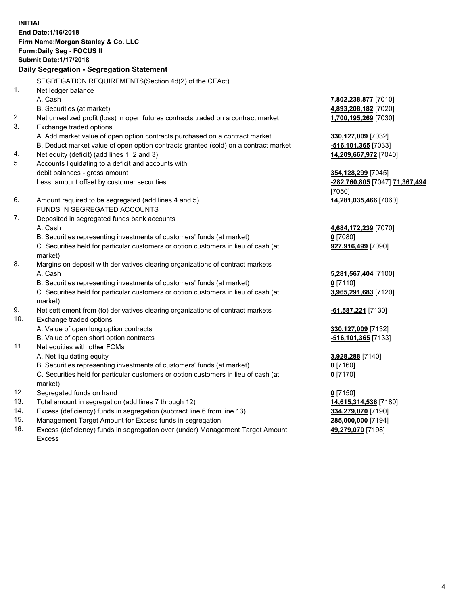**INITIAL End Date:1/16/2018 Firm Name:Morgan Stanley & Co. LLC Form:Daily Seg - FOCUS II Submit Date:1/17/2018 Daily Segregation - Segregation Statement** SEGREGATION REQUIREMENTS(Section 4d(2) of the CEAct) 1. Net ledger balance A. Cash **7,802,238,877** [7010] B. Securities (at market) **4,893,208,182** [7020] 2. Net unrealized profit (loss) in open futures contracts traded on a contract market **1,700,195,269** [7030] 3. Exchange traded options A. Add market value of open option contracts purchased on a contract market **330,127,009** [7032] B. Deduct market value of open option contracts granted (sold) on a contract market **-516,101,365** [7033] 4. Net equity (deficit) (add lines 1, 2 and 3) **14,209,667,972** [7040] 5. Accounts liquidating to a deficit and accounts with debit balances - gross amount **354,128,299** [7045] Less: amount offset by customer securities **-282,760,805** [7047] **71,367,494** [7050] 6. Amount required to be segregated (add lines 4 and 5) **14,281,035,466** [7060] FUNDS IN SEGREGATED ACCOUNTS 7. Deposited in segregated funds bank accounts A. Cash **4,684,172,239** [7070] B. Securities representing investments of customers' funds (at market) **0** [7080] C. Securities held for particular customers or option customers in lieu of cash (at market) **927,916,499** [7090] 8. Margins on deposit with derivatives clearing organizations of contract markets A. Cash **5,281,567,404** [7100] B. Securities representing investments of customers' funds (at market) **0** [7110] C. Securities held for particular customers or option customers in lieu of cash (at market) **3,965,291,683** [7120] 9. Net settlement from (to) derivatives clearing organizations of contract markets **-61,587,221** [7130] 10. Exchange traded options A. Value of open long option contracts **330,127,009** [7132] B. Value of open short option contracts **-516,101,365** [7133] 11. Net equities with other FCMs A. Net liquidating equity **3,928,288** [7140] B. Securities representing investments of customers' funds (at market) **0** [7160] C. Securities held for particular customers or option customers in lieu of cash (at market) **0** [7170] 12. Segregated funds on hand **0** [7150] 13. Total amount in segregation (add lines 7 through 12) **14,615,314,536** [7180] 14. Excess (deficiency) funds in segregation (subtract line 6 from line 13) **334,279,070** [7190]

- 15. Management Target Amount for Excess funds in segregation **285,000,000** [7194]
- 16. Excess (deficiency) funds in segregation over (under) Management Target Amount Excess

**49,279,070** [7198]